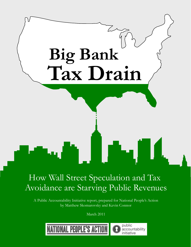

# How Wall Street Speculation and Tax Avoidance are Starving Public Revenues

A Public Accountability Initiative report, prepared for National People's Action by Matthew Skomarovsky and Kevin Connor

March 2011

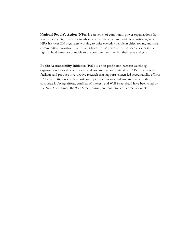**National People's Action (NPA)** is a network of community power organizations from across the country that work to advance a national economic and racial justice agenda. NPA has over 200 organizers working to unite everyday people in cities, towns, and rural communities throughout the United States. For 38 years NPA has been a leader in the fight to hold banks accountable to the communities in which they serve and profit.

**Public Accountability Initiative (PAI)** is a non-profit, non-partisan watchdog organization focused on corporate and government accountability. PAI's mission is to facilitate and produce investigative research that supports citizen-led accountability efforts. PAI's hardhitting research reports on topics such as wasteful government subsidies, corporate lobbying efforts, conflicts of interest, and Wall Street fraud have been cited by the New York Times, the Wall Street Journal, and numerous other media outlets.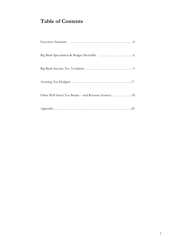# **Table of Contents**

| Other Wall Street Tax Breaks - and Revenue Sources 18 |
|-------------------------------------------------------|
|                                                       |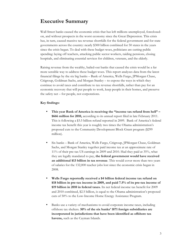### **Executive Summary**

Wall Street banks caused the economic crisis that has left millions unemployed, foreclosedon, and without prospects in the worst economy since the Great Depression. This crisis has, in turn, caused massive tax revenue shortfalls for the federal government and for state governments across the country: nearly \$300 billion combined for 50 states in the years since the crisis began. To deal with these budget woes, politicians are cutting public spending: laying off teachers, attacking public sector workers, raiding pensions, closing hospitals, and eliminating essential services for children, veterans, and the elderly.

Raising revenue from the wealthy, bailed-out banks that caused the crisis would be a far more sensible way to address these budget woes. This report analyzes data from the latest financial filings by the six big banks – Bank of America, Wells Fargo, JPMorgan Chase, Citigroup, Goldman Sachs, and Morgan Stanley – to expose the ways in which they continue to avoid taxes and contribute to tax revenue shortfalls, rather than pay for an economic recovery that will put people to work, keep people in their homes, and preserve the safety net – for people, not corporations.

### **Key findings:**

- **This year Bank of America is receiving the "income tax refund from hell" – \$666 million for 2010,** according to its annual report filed in late February 2011. This is following a \$3.5 billion refund reported in 2009. Bank of America's federal income tax benefit this year is roughly two times the Obama administration's proposed cuts to the Community Development Block Grant program (\$299 million).
- Six banks Bank of America, Wells Fargo, Citigroup, JPMorgan Chase, Goldman Sachs, and Morgan Stanley together paid income tax at an approximate rate of 11% of their pre-tax US earnings in 2009 and 2010. Had they paid at 35%, what they are legally mandated to pay, **the federal government would have received an additional \$13 billion in tax revenue**. This would cover more than two years of salaries for the 132,000 teacher jobs lost since the economic crisis began in 2008.
- **Wells Fargo reportedly received a \$4 billion federal income tax refund on \$18 billion in pre-tax income in 2009, and paid 7.5% of its pre-tax income of \$19 billion in 2010 in federal taxes.** Its net federal income tax benefit for 2009 and 2010 combined, \$2.5 billion, is equal to the Obama administration's proposed cuts of 50% to the Low-Income Home Energy Assistance Program.
- Banks use a variety of mechanisms to avoid corporate income taxes, including offshore tax shelters. **50% of the six banks' 1871 foreign subsidiaries are incorporated in jurisdictions that have been identified as offshore tax havens,** such as the Cayman Islands.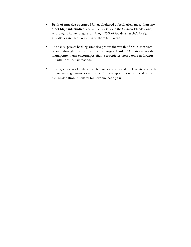- **Bank of America operates 371 tax-sheltered subsidiaries, more than any other big bank studied,** and 204 subsidiaries in the Cayman Islands alone, according to its latest regulatory filings. 75% of Goldman Sachs's foreign subsidiaries are incorporated in offshore tax havens.
- The banks' private banking arms also protect the wealth of rich clients from taxation through offshore investment strategies. **Bank of America's wealth management arm encourages clients to register their yachts in foreign jurisdictions for tax reasons.**
- Closing special tax loopholes on the financial sector and implementing sensible revenue-raising initiatives such as the Financial Speculation Tax could generate over **\$150 billion in federal tax revenue each year**.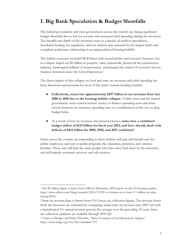## **I. Big Bank Speculation & Budget Shortfalls**

The federal government and state governments across the country are facing significant budget shortfalls due to lost tax revenue and increased relief spending during the recession. The breadth and depth of the recession owes to a decade of reckless speculation, fraudulent lending, lax regulation, and low interest rates pursued by the largest banks and compliant politicians, culminating in an unprecedented housing bubble.

The bubble economy rewarded Wall Street with record profits and executive bonuses, but its collapse wiped out \$9 trillion in property value nationwide, destroyed the construction industry, bankrupted millions of homeowners, and plunged the entire US economy into its sharpest downturn since the Great Depression.<sup>1</sup>

The direct impact of this collapse on local and state tax revenues and relief spending has been disastrous and accounts for most of the states' current funding troubles.

- ! **Collectively, states lost approximately \$297 billion in tax revenues from late 2008 to 2010 due to the housing bubble collapse.**2 Unlike cities and the federal government, states cannot borrow money to finance operating costs and must choose between tax increases, spending cuts, or a combination of the two to plug budget holes.
- ! As a result of lost tax revenues and projected losses, **states face a combined budget deficit of \$125 billion for fiscal year 2012, and have already dealt with deficits of \$423 billion for 2009, 2010, and 2011 combined.3**

States across the country are responding to these deficits with pay and benefit cuts for public employees and cuts to public programs like education, pensions, and veterans benefits. These cuts will hurt the same people who have been hurt most by the recession, and will impede economic recovery and job creation.

<sup>&</sup>lt;sup>1</sup> The \$9 trillion figure is drawn from Zillow's December 2010 report on the US housing market: http://www.zillow.com/blog/research/2010/12/09/u-s-homes-set-to-lose-1-7-trillion-in-valueduring-2010/

<sup>2</sup> State tax revenue data is drawn from US Census tax collection figures. Tax revenue losses from the recession are estimated by comparing actual state tax revenue since 2007 Q3 with a hypothetical 5% annual revenue growth, the average over the preceding 10 years. State tax collection numbers are available through 2010 Q3.

<sup>3</sup> Center on Budget and Policy Priorities, "States Continue to Feel Recession's Impact," http://www.cbpp.org/cms/?fa=view&id=711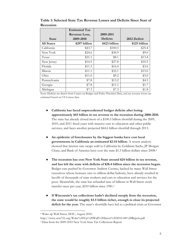|                   | <b>Estimated Tax</b> |               |               |
|-------------------|----------------------|---------------|---------------|
|                   | Revenue Loss,        | 2009-2011     |               |
| <b>State</b>      | 2009-2010            | Deficits      | 2012 Deficit  |
| <b>All States</b> | \$297 billion        | \$423 billion | \$125 billion |
| California        | \$43.7               | \$100.5       | \$25.4        |
| New York          | \$24.6               | \$36.9        | \$9.0         |
| Texas             | \$21.1               | \$8.1         | \$13.4        |
| New Jersey        | \$14.5               | \$27.8        | \$10.5        |
| Florida           | \$11.3               | \$16.4        | \$3.6         |
| Illinois          | \$11.1               | \$32.1        | \$15.0        |
| Ohio              | \$11.0               | \$9.2         | \$3.0         |
| Pennsylvania      | \$7.8                | \$13.2        | \$4.5         |
| Georgia           | \$7.8                | \$11.1        | \$1.7         |
| Michigan          | \$7.3                | \$7.3         | \$1.8         |

**Table 1: Selected State Tax Revenue Losses and Deficits Since Start of Recession**

Note: Deficits are drawn from Center on Budget and Policy Priorities Data, and tax revenue losses are estimated based on US Census data.

- ! **California has faced unprecedented budget deficits after losing approximately \$43 billion in tax revenue to the recession during 2008-2010.** The state has already closed most of a \$100.5 billion shortfall during the 2009, 2010, and 2011 fiscal years with massive cuts to education and other public services, and faces another projected \$44.6 billion shortfall through 2013.
- ! **An epidemic of foreclosures by the biggest banks have cost local governments in California an estimated \$2-14 billion.** A recent analysis showed that interest rate swaps sold to California by Goldman Sachs, JP Morgan Chase, and Bank of America have cost the state \$1.5 billion dollars since 2008.4
- ! **The recession has cost New York State around \$24 billion in tax revenue, and has left the state with deficits of \$28.4 billion since the recession began.** Budget cuts pushed by Governor Andrew Cuomo, backed by many Wall Street executives whose bonuses owe to trillion-dollar bailouts, have already resulted in layoffs of thousands of state workers and cuts to education and services for the poor. Meanwhile, the state has refunded tens of billions in Wall Street stock transfer taxes per year, \$210 billion since 1981.5
- ! **If Wisconsin's tax collections hadn't declined steeply from the recession, the state would be roughly \$3.5 billion richer, enough to close its projected deficit for the year.** The state's shortfalls have led to a political crisis as Governor

 <sup>4</sup> Wake up Wall Street, SEIU, August 2010.

http://www.seiu721.org/Wake%20Up%20Wall%20Street%202010-08%20Report.pdf

<sup>5</sup> Data from the 2009-2010 New York State Tax Collections Report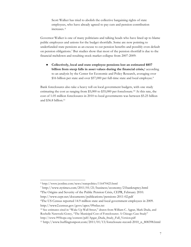Scott Walker has tried to abolish the collective bargaining rights of state employees, who have already agreed to pay cuts and pension contribution increases. <sup>6</sup>

Governor Walker is one of many politicians and talking heads who have lined up to blame public employees and unions for the budget shortfalls. Some are now pointing to underfunded state pensions as an excuse to cut pension benefits and possibly even default on pension obligations.7 But studies show that most of the pension shortfall is due to the financial meltdown and resulting stock market collapse from 2007-2009:

! **Collectively, local and state employee pensions lost an estimated \$857 billion from steep falls in asset values during the financial crisis,**<sup>8</sup> according to an analysis by the Center for Economic and Policy Research, averaging over \$16 billion per state and over \$57,000 per full-time state and local employee.9

Bank foreclosures also take a heavy toll on local government budgets, with one study estimating the cost as ranging from \$5,000 to \$35,000 per foreclosure.10 At this rate, the cost of 1.05 million foreclosures in 2010 to local governments was between \$5.25 billion and \$36.8 billion.11

http://www.cepr.net/documents/publications/pensions-2011-02.pdf

 <sup>6</sup> http://www.jsonline.com/news/statepolitics/116470423.html

<sup>7</sup> http://www.nytimes.com/2011/01/21/business/economy/21bankruptcy.html

<sup>8</sup>The Origins and Severity of the Public Pension Crisis, CEPR, February 2010.

<sup>9</sup>The US Census reported 14.9 million state and local government employees in 2009. http://www2.census.gov/govs/apes/09stlus.txt

<sup>10</sup> See estimates cited in "Wake Up Wall Street," drawn from William C. Agpar, Mark Duda, and Rochelle Nawrocki Gorey, "The Municipal Cost of Foreclosures: A Chicago Case Study" http://www.995hope.org/content/pdf/Apgar\_Duda\_Study\_Full\_Version.pdf

<sup>11</sup> http://www.huffingtonpost.com/2011/01/13/foreclosure-record-2010\_n\_808398.html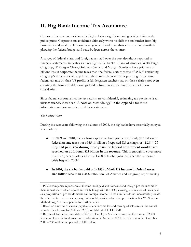### **II. Big Bank Income Tax Avoidance**

Corporate income tax avoidance by big banks is a significant and growing drain on the public purse. Corporate tax avoidance ultimately works to shift the tax burden from big businesses and wealthy elites onto everyone else and exacerbates the revenue shortfalls plaguing the federal budget and state budgets across the country.

A survey of federal, state, and foreign taxes paid over the past decade, as reported in financial statements, indicates six Too Big To Fail banks – Bank of America, Wells Fargo, Citigroup, JP Morgan Chase, Goldman Sachs, and Morgan Stanley – have paid tens of billions less in corporate income taxes than the federal statutory rate of 35%.12 Excluding Citigroup's three years of deep losses, these six bailed-out banks pay roughly the same federal tax rate on their US profits as kindergarten teachers pay on their salaries, not even counting the banks' sizable earnings hidden from taxation in hundreds of offshore subsidiaries.

Since federal corporate income tax returns are confidential, estimating tax payments is an inexact science. Please see "A Note on Methodology" in the Appendix for more information on how we calculated these estimates.

### *The Bailout Years*

During the two years following the bailouts of 2008, the big banks have essentially enjoyed a tax holiday:

- ! In 2009 and 2010, the six banks appear to have paid a net of only \$6.1 billion in federal income taxes out of \$54.8 billion of reported US earnings, or 11.2%.13 **If they had paid 35% during these years the federal government would have received an additional \$13 billion in tax revenue.** This is enough to cover more than two years of salaries for the 132,000 teacher jobs lost since the economic crisis began in 2008.14
- ! **In 2010, the six banks paid only 15% of their US income in federal taxes, \$8.3 billion less than a 35% rate.** Bank of America and Citigroup report having

 <sup>12</sup> Public companies report annual income taxes paid and domestic and foreign pre-tax income in their annual shareholder reports and 10-K filings with the SEC, allowing a tabulation of taxes paid as a proportion of pre-tax domestic and foreign income. These numbers do not necessarily provide the effective tax rate for a company, but should provide a decent approximation. See "A Note on Methodology" in the appendix for further details.

<sup>13</sup> Based on a review of current payable federal income tax and earnings disclosures in the annual reports of each bank for 2009 and 2010, available at SEC EDGAR.

<sup>14</sup> Bureau of Labor Statistics data on Current Employee Statistics show that there were 132,000 fewer employees in local government education in December 2010 than there were in December 2008 – 7.95 million as opposed to 8.08 million.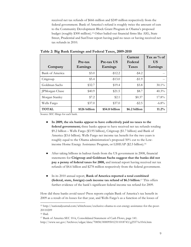received net tax refunds of \$666 million and \$249 million respectively from the federal government. Bank of America's refund is roughly twice the amount of cuts to the Community Development Block Grant Program in Obama's proposed budget (roughly \$300 million).15 Other bailed-out financial firms like AIG, State Street, Prudential and SunTrust report having paid no taxes or having received net tax refunds in 2010.

| Company         | Pre-tax<br>Earnings | Pre-tax US<br>Earnings | Current<br>Federal<br><b>Taxes</b> | Tax as $%$ of<br>US<br>Earnings |
|-----------------|---------------------|------------------------|------------------------------------|---------------------------------|
| Bank of America | \$3.0               | $-12.2$                | $-$ \$4.2                          |                                 |
| Citigroup       | \$5.4               | $-13.0$                | $-1.9$                             |                                 |
| Goldman Sachs   | \$32.7              | \$19.4                 | \$5.8                              | $30.1\%$                        |
| JPMorgan Chase  | \$40.9              | \$21.5                 | \$8.7                              | $40.3\%$                        |
| Morgan Stanley  | \$7.2               | \$2.1                  | \$0.37                             | 17.8%                           |
| Wells Fargo     | \$37.0              | \$37.0                 | $-$ \$2.5                          | $-6.8\%$                        |
| <b>TOTAL</b>    | \$126 billion       | \$54.8 billion         | \$6.2 billion                      | $11.2\%$                        |

**Table 2: Big Bank Earnings and Federal Taxes, 2009-2010**

Source: SEC filings for each bank.

- ! **In 2009, the six banks appear to have collectively paid no taxes to the federal government;** three banks appear to have received net tax refunds totaling \$9.2 billion – Wells Fargo (\$3.95 billion), Citigroup (\$1.7 billion) and Bank of America (\$3.6 billion). Wells Fargo net income tax benefit for the two years is roughly equal to the Obama administration's proposed 50% cut to the Lowincome Home Energy Assistance Program, or LIHEAP (\$2.5 billion).16
- ! After taking billions in bailout funds from the US government in 2008, financial statements for **Citigroup and Goldman Sachs suggest that the banks did not pay a penny of federal taxes for 2008,** and instead report having received net tax refunds of \$4.6 billion and \$278 million respectively from the federal government.
- ! In its 2010 annual report, **Bank of America reported a total combined (federal, state, foreign) cash income tax refund of \$6.3 billion**. 17 This offers further evidence of the bank's significant federal income tax refund for 2009.

How did these banks avoid taxes? Press reports explain Bank of America's tax benefit in 2009 as a result of its losses for that year, and Wells Fargo's as a function of the losses of

 <sup>15</sup> http://nationaljournal.com/whitehouse/exclusive-obama-to-cut-energy-assistance-for-the-poor-20110209

<sup>16</sup> Ibid.

<sup>17</sup> Bank of America SEC 10-k, Consolidated Statement of Cash Flows, page 141.

http://www.sec.gov/Archives/edgar/data/70858/000095012311018743/g25571e10vk.htm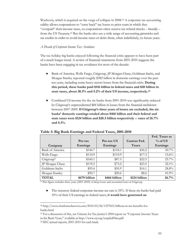Wachovia, which it acquired on the verge of collapse in 2008.18 A corporate tax accounting oddity allows corporations to "carry back" tax losses to prior years in which they "overpaid" their income taxes, so corporations often receive tax refund checks – literally – from the US Treasury.19 But the banks also use a wide range of accounting gimmicks and tax credits in order to avoid income taxes or defer them, often indefinitely, to future years.

#### *A Decade of Corporate Income Tax Avoidance*

The tax holiday big banks enjoyed following the financial crisis appears to have been part of a much longer trend. A review of financial statements from 2001-2010 suggests the banks have been engaging in tax avoidance for most of the decade:

- ! Bank of America, Wells Fargo, Citigroup, JP Morgan Chase, Goldman Sachs, and Morgan Stanley reported roughly \$382 billion in domestic earnings over the past ten years, including some heavy recent losses from the financial crisis. **During this period, these banks paid \$116 billion in federal taxes and \$20 billion in state taxes, about 30.3% and 5.2% of their US income, respectively.24**
- Combined US income for the six banks from 2001-2010 was significantly reduced by Citigroup's unprecedented \$84 billion in losses from the financial meltdown between 2007-2009. **If Citigroup's three years of losses are excluded, the six banks' domestic earnings totaled about \$466 billion and their federal and state taxes were \$124 billion and \$20.3 billion respectively -- rates of 26.7% and 4.3%.**

|                 |               |                            |               | Fed. Taxes as |
|-----------------|---------------|----------------------------|---------------|---------------|
|                 | Pre-tax       | Current Fed.<br>Pre-tax US |               | $%$ of US     |
| Company         | Earnings      | Earnings                   | <b>Taxes</b>  | Earnings      |
| Bank of America | \$144.7       | \$118.1                    | \$36.2        | $30.7\%$      |
| Wells Fargo     | \$110.9       | \$110.9                    | \$17.3        | $15.6\%$      |
| $Citigroup^*$   | \$160.1       | \$87.5                     | \$22.5        | 25.7%         |
| JP Morgan Chase | \$119.5       | \$73.2                     | \$23.5        | $32.1\%$      |
| Goldman Sachs   | \$93.6        | \$55.9                     | \$16.1        | 28.8%         |
| Morgan Stanley  | \$50.7        | \$20.6                     | \$8.6         | 41.9%         |
| <b>TOTAL</b>    | \$679 billion | \$466 billion              | \$124 billion | 26.7%         |

#### **Table 3: Big Bank Earnings and Federal Taxes, 2001-2010**

\* This figure excludes three years (2007-2009) of deep losses and associated taxes at Citigroup.

• The statutory federal corporate income tax rate is 35%. If these six banks had paid 35% of their US earnings in federal taxes, **it would have generated an** 

 <sup>18</sup> http://www.charlotteobserver.com/2010/03/26/1337021/billions-in-tax-benefits-forbanks.html

<sup>19</sup> For a discussion of this, see Citizens for Tax Justice's 2004 report on "Corporate Income Taxes in the Bush Years," available at http://www.ctj.org/corpfed04an.pdf

<sup>24</sup> SEC annual reports, 2001-2010 for each bank.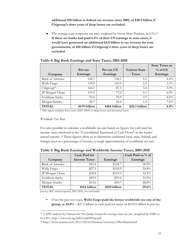**additional \$18 billion in federal tax revenue since 2001, or \$38.9 billion if Citigroup's three years of deep losses are excluded.**

! The average state corporate tax rate, weighted by Gross State Product, is 6.5%.25 **If these six banks had paid 6.5% of their US earnings in state taxes, it would have generated an additional \$4.8 billion in tax revenue for state governments, or \$10 billion if Citigroup's three years of deep losses are excluded.**

|                 |               |               |                      | <b>State Taxes as</b> |
|-----------------|---------------|---------------|----------------------|-----------------------|
|                 | Pre-tax       | Pre-tax US    | <b>Current State</b> | $%$ of US             |
| Company         | Earnings      | Earnings      | <b>Taxes</b>         | Earnings              |
| Bank of America | 144.7         | 118.1         | 5.2                  | $4.4\%$               |
| Wells Fargo     | 110.9         | 110.9         | 2.5                  | 2.3%                  |
| Citigroup*      | 160.1         | 87.5          | 3.4                  | $3.9\%$               |
| JP Morgan Chase | 119.5         | 73.2          | 5.1                  | 6.9%                  |
| Goldman Sachs   | 93.6          | 55.9          | 2.5                  | 4.5%                  |
| Morgan Stanley  | 50.7          | 20.6          | 1.6                  | 7.6%                  |
| <b>TOTAL</b>    | \$679 billion | \$466 billion | \$20.3 billion       | 4.4%                  |

### **Table 4: Big Bank Earnings and State Taxes, 2001-2010**

\* This figure excludes three years (2007-2009) of deep losses and associated taxes

### *Worldwide Tax Rate*

It is also possible to calculate a worldwide tax rate based on figures for cash paid for income taxes disclosed in the "Consolidated Statement of Cash Flows" in the banks' annual reports. 26 These figures allow us to determine combined local, state, federal, and foreign taxes as a percentage of income, a rough approximation of worldwide tax rate.

|                 | <b>Cash Paid for</b> |               | Cash Paid as % of |
|-----------------|----------------------|---------------|-------------------|
| Company         | <b>Income Taxes</b>  | Earnings      | Earnings          |
| Bank of America | \$41.8               | \$144.7       | 28.9%             |
| Wells Fargo     | \$27.5               | \$110.9       | 24.8%             |
| JP Morgan Chase | \$39.8               | \$119.5       | 33.3%             |
| Goldman Sachs   | \$29.9               | \$93.6        | 31.9%             |
| Morgan Stanley  | \$14.6               | \$50.7        | 28.8%             |
| <b>TOTAL</b>    | \$154 billion        | \$519 billion | 29.6%             |

**Table 5: Big Bank Earnings and Worldwide Income Taxes, 2001-2010**

Source: SEC annual reports, 2001-2010, for each bank.

• Over the past ten years, **Wells Fargo paid the lowest worldwide tax rate of the group, at 24.8%** – \$27.5 billion in cash paid for taxes on \$110.9 billion in pre-tax

 <sup>25</sup> A 2005 analysis by Citizens for Tax Justice found the average state tax rate (weighted by GSP) to be 6.8%. http://www.ctj.org/pdf/corp0205an.pdf

<sup>26</sup> http://www.nytimes.com/2011/02/02/business/economy/02leonhardt.html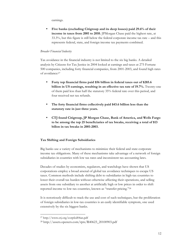earnings.

• **Five banks (excluding Citigroup and its deep losses) paid 29.6% of their income in taxes from 2001 to 2010.** JPMorgan Chase paid the highest rate, at 33.3%, but this figure is still below the federal corporate income tax rate – and this represents federal, state, and foreign income tax payments combined.

### *Broader Financial Industry*

Tax avoidance in the financial industry is not limited to the six big banks. A detailed analysis by Citizens for Tax Justice in 2004 looked at earnings and taxes at 275 Fortune 500 companies, including forty financial companies, from 2001-2003, and found high rates of avoidance:27

- **Forty top financial firms paid \$56 billion in federal taxes out of \$285.6 billion in US earnings, resulting in an effective tax rate of 19.7%.** Twenty-one of them paid less than half the statutory 35% federal rate over this period, and four received net tax refunds.
- **The forty financial firms collectively paid \$43.6 billion less than the statutory rate in just three years.**
- **CTJ found Citigroup, JP Morgan Chase, Bank of America, and Wells Fargo to be among the top 25 beneficiaries of tax breaks, receiving a total of \$13 billon in tax breaks in 2001-2003.**

### **Tax Shifting and Foreign Subsidiaries**

Big banks use a variety of mechanisms to minimize their federal and state corporate income tax obligations. Many of these mechanisms take advantage of a network of foreign subsidiaries in countries with low tax rates and inconsistent tax accounting laws.

Decades of studies by economists, regulators, and watchdogs have shown that US corporations employ a broad arsenal of global tax avoidance techniques to escape US taxes. Common methods include shifting debt to subsidiaries in high-tax countries to lower their overall tax burden without otherwise affecting their operations, and selling assets from one subsidiary to another at artificially high or low prices in order to shift reported income to low-tax countries, known as "transfer pricing."28

It is notoriously difficult to track the use and cost of such techniques, but the proliferation of foreign subsidiaries in low-tax countries is an easily identifiable symptom, one used extensively by the six biggest banks.

 <sup>27</sup> http://www.ctj.org/corpfed04an.pdf

<sup>28</sup> http://assets.opencrs.com/rpts/R40623\_20100903.pdf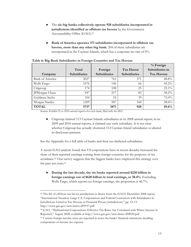- ! The **six big banks collectively operate 928 subsidiaries incorporated in jurisdictions identified as offshore tax havens** by the Government Accountability Office (GAO).29
- ! **Bank of America operates 371 subsidiaries incorporated in offshore tax havens, more than any other big bank.** 204 of these subsidiaries are incorporated in the Cayman Islands, which has a corporate tax rate of 0%.

|                 |                     |                     |                     | % Foreign         |
|-----------------|---------------------|---------------------|---------------------|-------------------|
|                 | Total               | Foreign             | Tax Haven           | Subsidiaries in   |
| Company         | <b>Subsidiaries</b> | <b>Subsidiaries</b> | <b>Subsidiaries</b> | <b>Tax Havens</b> |
| Bank of America | 2027                | 761                 | 371                 | 48.8%             |
| Wells Fargo     | 1676                | 146                 | 66                  | 45.2%             |
| Citigroup       | 174                 | 108                 | 25                  | 23.1%             |
| JPMorgan Chase  | 547                 | 217                 | 83                  | 38.2%             |
| Goldman Sachs   | 104                 | 52                  | 39                  | 75.0%             |
| Morgan Stanley  | 1209                | 587                 | 344                 | 58.6%             |
| <b>TOTAL</b>    | 5737                | 1871                | 928                 | 49.6%             |

Source: Exhibit 21 to 2010 annual reports for each bank, filed with the SEC.

! Citigroup claimed 113 Cayman Islands subsidiaries in its 2008 annual report; in its 2009 and 2010 annual reports, it claimed one such subsidiary. It is not clear whether Citigroup has actually shuttered 112 Cayman Island subsidiaries or altered its disclosure patterns.

See the Appendix for a full table of banks and their tax-sheltered subsidiaries.

A recent GAO analysis found that US corporations have in recent decades increased the share of their reported earnings coming from foreign countries for the purposes of tax avoidance.30 Our survey suggests that the biggest banks have employed this strategy over the past ten years.31

! **During the last decade, the six banks reported around \$238 billion in foreign earnings out of \$620 billion in total earnings, or 38.4%.** Excluding Wells Fargo, which reports no foreign earnings, the proportion is 46.7%.

<sup>&</sup>lt;sup>29</sup> The list of offshore tax haven jurisdictions is drawn from the GAO's December 2008 report, "International Taxation: Large U.S. Corporations and Federal Contractors with Subsidiaries in Jurisdictions Listed as Tax Havens or Financial Privacy Jurisdictions," pp. 12-13. http://www.gao.gov/new.items/d09157.pdf

<sup>30</sup> GAO, "Multinational Corporations: Effective Tax Rates Are Correlated with Where Income Is Reported," August 2008, available at http://www.gao.gov/new.items/d08950.pdf

<sup>&</sup>lt;sup>31</sup> Current foreign income taxes are reported in notes the banks' financial statements detailing components of income tax expense.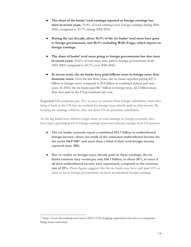- ! **The share of the banks' total earnings reported as foreign earnings has risen in recent years.** 23.8% of total earnings were foreign earnings during 2001- 2005, compared to 55.7% during 2006-2010.
- ! **During the last decade, about 36.1% of the six banks' total taxes have gone to foreign governments, and 40.1% excluding Wells Fargo, which reports no foreign earnings.**
- ! **The share of banks' total taxes going to foreign governments has also risen in recent years.** 25.6% of total taxes were paid to foreign governments from 2001-2005, compared to 50.7% over 2006-2010.
- ! **In recent years, the six banks have paid billions more in foreign taxes than domestic taxes.** Over the last three years, the six banks reported paying \$27.2 billion in foreign taxes, compared to \$15 billion in combined federal and state taxes. In 2010, the six banks paid \$8.7 billion in foreign taxes, \$2.2 billion more than they paid to the US government last year.

In general, US companies pay 35% in taxes on income from foreign subsidiaries when they bring it back to the US, but are credited for foreign taxes already paid on that income. By keeping the earnings offshore, they can defer US tax payments indefinitely.

As the big banks have shifted a larger share of total earnings to foreign countries, they have kept a growing pool of foreign earnings reinvested abroad, exempt from US taxation.

- ! **The six banks currently report a combined \$93.7 billion in undistributed foreign income, about one-tenth of the estimated undistributed income for the entire S&P 500**32 **and more than a third of their total foreign income reported since 2001.**
- ! **Due to credits on foreign taxes already paid on these earnings, the six banks estimate they would pay only \$18.7 billion, or about 20%, in taxes if all their undistributed income were repatriated, compared to the statutory rate of 35%.** These figures suggests that the six banks may have only paid 15% in taxes so far to foreign governments on these accumulated foreign earnings.

 <sup>32</sup> http://www.bloomberg.com/news/2010-12-29/dodging-repatriation-tax-lets-u-s-companiesbring-home-cash.html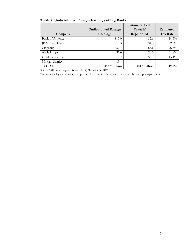|                 |                              | <b>Estimated Fed.</b> |                  |
|-----------------|------------------------------|-----------------------|------------------|
|                 | <b>Undistributed Foreign</b> | Taxes if              | <b>Estimated</b> |
| Company         | Earnings                     | Repatriated           | Tax Rate         |
| Bank of America | \$17.9                       | \$2.6                 | $14.5\%$         |
| JP Morgan Chase | \$19.3                       | \$4.3                 | 22.3%            |
| Citigroup       | \$32.1                       | \$8.6                 | 26.8%            |
| Wells Fargo     | \$1.6                        | \$0.5                 | 31.8%            |
| Goldman Sachs   | \$17.7                       | \$2.7                 | $15.1\%$         |
| Morgan Stanley  | \$5.1                        |                       |                  |
| <b>TOTAL</b>    | \$93.7 billion               | \$18.7 billion        | $19.9\%$         |

### **Table 7: Undistributed Foreign Earnings of Big Banks**

Source: 2010 annual reports for each bank, filed with the SEC.

\* Morgan Stanley states that it is "impracticable" to estimate how much taxes would be paid upon repatriation.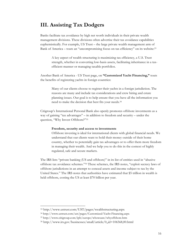# **III. Assisting Tax Dodgers**

Banks facilitate tax avoidance by high net worth individuals in their private wealth management divisions. These divisions often advertise their tax avoidance capabilities euphemistically. For example, US Trust – the large private wealth management arm of Bank of America – touts an "uncompromising focus on tax efficiency" on its website:33

A key aspect of wealth structuring is maximizing tax efficiency, a U.S. Trust strength, whether in converting low-basis assets, facilitating inheritance in a taxefficient manner or managing taxable portfolios.

Another Bank of America - US Trust page, on **"Customized Yacht Financing,"** touts the benefits of registering yachts in foreign countries:

Many of our clients choose to register their yachts in a foreign jurisdiction. The reasons are many and include tax considerations and crew hiring and estate planning issues. Our goal is to help ensure that you have all the information you need to make the decision that best fits your needs.34

Citigroup's International Personal Bank also openly promotes offshore investments as a way of gaining "tax advantages" – in addition to freedom and security – under the question, "Why Invest Offshore?"35

#### **Freedom, security and access to investments**

Offshore investing is ideal for international clients with global financial needs. We understand that our clients want to hold their money outside of their home country, whether to potentially gain tax advantages or to offer them more freedom in managing their wealth. And we help you to do this in the context of highly regulated, safe and secure markets.

The IRS lists "private banking (US and offshore)" in its list of entities used in "abusive offshore tax avoidance schemes."36 These schemes, the IRS notes, "exploit secrecy laws of offshore jurisdictions in an attempt to conceal assets and income subject to tax by the United States." The IRS notes that authorities have estimated that \$5 trillion in wealth is held offshore, costing the US at least \$70 billion per year.

 <sup>33</sup> http://www.ustrust.com/UST/pages/wealthstructuring.aspx

<sup>34</sup> http://www.ustrust.com/ust/pages/Customized-Yacht-Financing.aspx

<sup>35</sup> http://www.citigroup.com/ipb/europe/whoweare/whyoffshore.htm

<sup>36</sup> http://www.irs.gov/businesses/small/article/0,,id=106568,00.html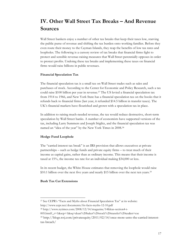# **IV. Other Wall Street Tax Breaks – And Revenue Sources**

Wall Street bankers enjoy a number of other tax breaks that keep their taxes low, starving the public purse of revenue and shifting the tax burden onto working families. Before they even route their money to the Cayman Islands, they reap the benefits of low tax rates and loopholes. The following is a cursory review of tax breaks that financial firms fight to protect and sensible revenue-raising measures that Wall Street perennially opposes in order to protect profits. Undoing these tax breaks and implementing these taxes on financial firms would raise billions in public revenues.

### **Financial Speculation Tax**

The financial speculation tax is a small tax on Wall Street trades such as sales and purchases of stock. According to the Center for Economic and Policy Research, such a tax could raise \$100 billion per year in revenue.<sup>37</sup> The US levied a financial speculation tax from 1914 to 1966, and New York State has a financial speculation tax on the books that it refunds back to financial firms (last year, it refunded \$14.5 billion in transfer taxes). The UK's financial markets have flourished and grown with a speculation tax in place.

In addition to raising much-needed revenue, the tax would reduce destructive, short-term speculation by Wall Street banks. A number of economists have supported versions of the tax, including Larry Summers and Joseph Stiglitz, and the financial speculation tax was named an "idea of the year" by the New York Times in 2008.38

### **Hedge Fund Loophole**

The "carried interest tax break" is an IRS provision that allows executives at private partnerships – such as hedge funds and private equity firms – to treat much of their income as capital gains, rather than as ordinary income. This means that their income is taxed at 15%, the income tax rate for an individual making \$34,000 or less.

In its recent budget, the White House estimates that removing the loophole would raise \$10.1 billion over the next five years and nearly \$15 billion over the next ten years.<sup>39</sup>

### **Bush Tax Cut Extensions**

 <sup>37</sup> See CEPR's "Facts and Myths about Financial Speculation Tax" at its website: http://www.cepr.net/documents/fst-facts-myths-12-10.pdf

<sup>38</sup> http://www.nytimes.com/2008/12/14/magazine/14Ideas-section4-t-

<sup>005.</sup>html?\_r=1&scp=1&sq=dean%20baker%20stock%20transfer%20tax&st=cse

<sup>39</sup> http://blogs.wsj.com/privateequity/2011/02/14/once-more-unto-the-carried-interesttax-breach/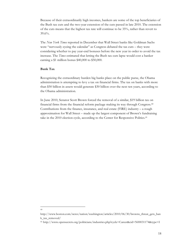Because of their extraordinarily high incomes, bankers are some of the top beneficiaries of the Bush tax cuts and the two-year extension of the cuts passed in late 2010. The extension of the cuts means that the highest tax rate will continue to be 35%, rather than revert to 39.6%.

The *New York Times* reported in December that Wall Street banks like Goldman Sachs were "nervously eyeing the calendar" as Congress debated the tax cuts – they were considering whether to pay year-end bonuses before the new year in order to avoid the tax increase. The *Times* estimated that letting the Bush tax cuts lapse would cost a banker earning a \$1 million bonus \$40,000 to \$50,000.

### **Bank Tax**

Recognizing the extraordinary burden big banks place on the public purse, the Obama administration is attempting to levy a tax on financial firms. The tax on banks with more than \$50 billion in assets would generate \$30 billion over the next ten years, according to the Obama administration.

In June 2010, Senator Scott Brown forced the removal of a similar, \$19 billion tax on financial firms from the financial reform package making its way through Congress.40 Contributions from the finance, insurance, and real estate (FIRE) industry – a rough approximation for Wall Street – made up the largest component of Brown's fundraising take in the 2010 election cycle, according to the Center for Responsive Politics.41

 <sup>40</sup>

http://www.boston.com/news/nation/washington/articles/2010/06/30/browns\_threat\_gets\_ban k\_tax\_removed/

<sup>41</sup> http://www.opensecrets.org/politicians/industries.php?cycle=Career&cid=N00031174&type=I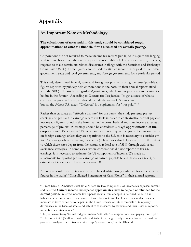# **Appendix**

### **An Important Note on Methodology**

**The calculations of taxes paid in this study should be considered rough approximations of what the financial firms discussed are actually paying.** 

Corporations are not required to make income tax returns public, so it is quite challenging to determine how much they actually pay in taxes. Publicly held corporations are, however, required to make certain tax-related disclosures in filings with the Securities and Exchange Commission (SEC). These figures can be used to estimate income taxes paid to the federal government, state and local governments, and foreign governments for a particular period.

This study determined federal, state, and foreign tax payments using the *current* payable tax figures reported by publicly held corporations in the notes to their annual reports (filed with the SEC). The study disregarded *deferred* taxes, which are tax payments anticipated to be due in the future.<sup>42</sup> According to Citizens for Tax Justice, "to get a sense of what a corporation pays each year, we should include the *current* U.S. taxes paid, but *not* the *deferred* U.S. taxes. "Deferred" is a euphemism for "not paid.""43

Rather than calculate an "effective tax rate" for the banks, the study presents pre-tax earnings and pre-tax US earnings where available in order to contextualize current payable income tax figures found in the banks' annual reports. Federal and state income taxes as a percentage of pre-tax US earnings should be considered a *rough* **approximation of the corporations' US tax rates** (US corporations are not required to pay federal income taxes on foreign earnings unless they are repatriated to the US, so it is necessary to consider *pretax U.S. earnings* when estimating these rates.) These rates also help approximate the extent to which these rates depart from the statutory federal rate of 35% through various tax avoidance strategies. In some cases, where corporations did not report pre-tax US earnings, it is necessary to estimate the US component of income. We made no adjustments to reported pre-tax earnings or current payable federal taxes; as a result, our estimates of tax rates are likely conservative.44

An international effective tax rate can also be calculated using cash paid for income taxes figures in the banks' "Consolidated Statements of Cash Flows" in their annual reports.

 <sup>42</sup> From Bank of America's 2010 10-k: "There are two components of income tax expense: current and deferred. **Current income tax expense approximates taxes to be paid or refunded for the current period.** Deferred income tax expense results from changes in deferred tax assets and liabilities between periods. These gross deferred tax assets and liabilities represent decreases or increases in taxes expected to be paid in the future because of future reversals of temporary differences in the bases of assets and liabilities as measured by tax laws and their bases as reported in the financial statements."

<sup>43</sup> http://www.ctj.org/taxjusticedigest/archive/2011/02/us\_corporations\_are\_paying\_eve\_1.php 44 The notes to CTJ's 2004 report include details of the range of adjustments that can be made as part of an analysis of effective tax rates: http://www.ctj.org/corpfed04an.pdf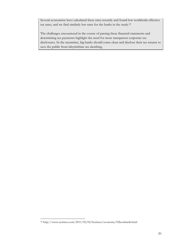Several economists have calculated these rates recently and found low worldwide effective tax rates, and we find similarly low rates for the banks in the study.45

The challenges encountered in the course of parsing these financial statements and determining tax payments highlight the need for more transparent corporate tax disclosures. In the meantime, big banks should come clean and disclose their tax returns to save the public from labyrinthine tax sleuthing.

 <sup>45</sup> http://www.nytimes.com/2011/02/02/business/economy/02leonhardt.html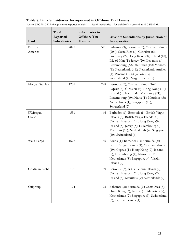### **Table 8: Bank Subsidiaries Incorporated in Offshore Tax Havens**

| <b>Bank</b>        | Total<br>Reported<br><b>Subsidiaries</b> | Subsidiaries in<br><b>Offshore Tax</b><br>Havens | Offshore Subsidiaries by Jurisdiction of<br>Incorporation                                                                                                                                                                                                                                                                                                   |
|--------------------|------------------------------------------|--------------------------------------------------|-------------------------------------------------------------------------------------------------------------------------------------------------------------------------------------------------------------------------------------------------------------------------------------------------------------------------------------------------------------|
| Bank of<br>America | 2027                                     | 371                                              | Bahamas (3); Bermuda (5); Cayman Islands<br>(204); Costa Rica (1); Gibraltar (6);<br>Guernsey (2); Hong Kong (3); Ireland (18);<br>Isle of Man (1); Jersey (20); Lebanon (1);<br>Luxembourg (32); Mauritius (10); Monaco<br>(1); Netherlands (41); Netherlands Antilles<br>$(1)$ ; Panama $(1)$ ; Singapore $(12)$ ;<br>Switzerland (4); Virgin Islands (5) |
| Morgan Stanley     | 1209                                     | 298                                              | Bermuda (5); Cayman Islands (169);<br>Cyprus (3); Gibraltar (9); Hong Kong (14);<br>Ireland (8); Isle of Man (1); Jersey (21);<br>Luxembourg (49); Malta (1); Mauritius (5);<br>Netherlands (1); Singapore (10);<br>Switzerland (2)                                                                                                                         |
| JPMorgan<br>Chase  | 551                                      | 166                                              | Barbados (1); Bermuda (5); British Virgin<br>Islands (3); British Virgin Islands (1);<br>Cayman Islands (11); Hong Kong (9);<br>Ireland (8); Jersey (5); Luxembourg (9);<br>Mauritius (13); Netherlands (4); Singapore<br>$(10)$ ; Switzerland $(4)$                                                                                                        |
| Wells Fargo        | 1676                                     | 66                                               | Aruba (1); Barbados (1); Bermuda (5);<br>British Virgin Islands (1); Cayman Islands<br>(19); Cyprus (1); Hong Kong (7); Ireland<br>$(2)$ ; Luxembourg $(4)$ ; Mauritius $(11)$ ;<br>Netherlands (8); Singapore (4); Virgin<br>Islands (2)                                                                                                                   |
| Goldman Sachs      | 105                                      | 39                                               | Bermuda (3); British Virgin Islands (2);<br>Cayman Islands (17); Hong Kong (2);<br>Ireland (4); Mauritius (9); Netherlands (2)                                                                                                                                                                                                                              |
| Citigroup          | 174                                      | 25                                               | Bahamas (3); Bermuda (2); Costa Rica (3);<br>Hong Kong (3); Ireland (3); Mauritius (2);<br>Netherlands (2); Singapore (3); Switzerland<br>(3); Cayman Islands (1)                                                                                                                                                                                           |

Source: SEC 2010 10-k filings (annual reports), exhibit 21 – list of subsidiaries – for each bank. Accessed at SEC EDGAR.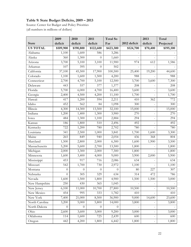### **Table 9: State Budget Deficits, 2009 – 2013**

Source: Center for Budget and Policy Priorities (all numbers in millions of dollars)

|                 | 2009             | 2010      | 2011           | <b>Total So</b> |              | 2013                     | Total     |
|-----------------|------------------|-----------|----------------|-----------------|--------------|--------------------------|-----------|
| <b>State</b>    | deficit          | deficit   | deficit        | Far             | 2012 deficit | deficit                  | Projected |
| <b>US TOTAL</b> | \$109,900        | \$190,800 | \$122,600      | \$423,300       | \$124,700    | \$70,400                 | \$195,100 |
| Alabama         | 1,100            | 1,600     | 586            | 3,286           |              |                          |           |
| Alaska          | 360              | 1,300     | 0              | 1,660           |              |                          |           |
| Arizona         | 3,700            | 5,100     | 3,100          | 11,900          | 974          | 612                      | 1,586     |
| Arkansas        | 107              | 395       | $\overline{0}$ | 502             |              |                          |           |
| California      | 37,100           | 45,500    | 17,900         | 100,500         | 25,400       | 19,200                   | 44,600    |
| Colorado        | 1,100            | 1,600     | 1,500          | 4,200           | 988          |                          | 988       |
| Connecticut     | 2,700            | 4,700     | 5,100          | 12,500          | 3,700        | 3,600                    | 7,300     |
| Delaware        | 443              | 557       | 377            | 1,377           | 208          |                          | 208       |
| Florida         | 5,700            | 6,000     | 4,700          | 16,400          | 3,600        |                          | 3,600     |
| Georgia         | 2,400            | 4,500     | 4,200          | 11,100          | 1,700        |                          | 1,700     |
| Hawaii          | 417              | 1,200     | 594            | 2,211           | 410          | 362                      | 772       |
| Idaho           | 452              | 562       | 84             | 1,098           | 300          | $\qquad \qquad -$        | 300       |
| Illinois        | 4,300            | 14,300    | 13,500         | 32,100          | 15,000       |                          | 15,000    |
| Indiana         | 1,200            | 1,400     | 1,300          | 3,900           | 270          | $\overline{a}$           | 270       |
| Iowa            | 484              | 1,300     | 1,100          | 2,884           | 294          | $\overline{a}$           | 294       |
| Kansas          | 186              | 1,800     | 510            | 2,496           | 492          | $\overline{a}$           | 492       |
| Kentucky        | $\overline{7}22$ | 1,200     | 780            | 2,702           | 780          |                          | 780       |
| Louisiana       | 341              | 2,500     | 1,000          | 3,841           | 1,700        | 1,600                    | 3,300     |
| Maine           | 265              | 849       | 940            | 2,054           | 436          | 368                      | 804       |
| Maryland        | 1,500            | 2,800     | 2,000          | 6,300           | 1,600        | 1,900                    | 3,500     |
| Massachusetts   | 5,200            | 5,600     | 2,700          | 13,500          | 1,800        |                          | 1,800     |
| Michigan        | 2,000            | 3,300     | 2,000          | 7,300           | 1,800        |                          | 1,800     |
| Minnesota       | 1,600            | 3,400     | 4,000          | 9,000           | 3,900        | 2,000                    | 5,900     |
| Mississippi     | 453              | 917       | 716            | 2,086           | 634          |                          | 634       |
| Missouri        | 542              | 1,700     | 730            | 2,972           | 1,100        |                          | 1,100     |
| Montana         | $\boldsymbol{0}$ | $\theta$  | $\theta$       | $\theta$        | $80\,$       | 227                      | 307       |
| Nebraska        | $\boldsymbol{0}$ | 305       | 329            | 634             | 314          | 472                      | 786       |
| Nevada          | 1,600            | 1,500     | 1,800          | 4,900           | 1,500        | 1,500                    | 3,000     |
| New Hampshire   | 250              | 430       | 365            | 1,045           |              |                          |           |
| New Jersey      | 6,100            | 11,000    | 10,700         | 27,800          | 10,500       | $\overline{a}$           | 10,500    |
| New Mexico      | 454              | 995       | 333            | 1,782           | 410          |                          | 410       |
| New York        | 7,400            | 21,000    | 8,500          | 36,900          | 9,000        | 14,600                   | 23,600    |
| North Carolina  | 3,200            | 5,000     | 5,800          | 14,000          | 3,800        |                          | 3,800     |
| North Dakota    | $\theta$         | $\Omega$  | $\theta$       | $\theta$        |              |                          |           |
| Ohio            | 2,600            | 3,600     | 3,000          | 9,200           | 3,000        | $\overline{\phantom{0}}$ | 3,000     |
| Oklahoma        | 114              | 1,600     | 725            | 2,439           | 600          | $\overline{a}$           | 600       |
| Oregon          | 442              | 4,200     | 1,800          | 6,442           | 1,800        | $\qquad \qquad -$        | 1,800     |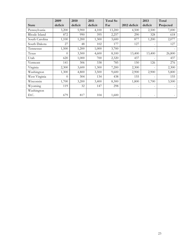|                | 2009           | 2010    | 2011    | <b>Total So</b> |                          | 2013                     | Total     |
|----------------|----------------|---------|---------|-----------------|--------------------------|--------------------------|-----------|
| <b>State</b>   | deficit        | deficit | deficit | Far             | 2012 deficit             | deficit                  | Projected |
| Pennsylvania   | 3,200          | 5,900   | 4,100   | 13,200          | 4,500                    | 2,500                    | 7,000     |
| Rhode Island   | 872            | 990     | 395     | 2,257           | 290                      | 328                      | 618       |
| South Carolina | 1,100          | 1,200   | 1,300   | 3,600           | 877                      | 1,200                    | 2,077     |
| South Dakota   | 27             | 48      | 102     | 177             | 127                      |                          | 127       |
| Tennessee      | 1,500          | 1,200   | 1,000   | 3,700           |                          |                          |           |
| Texas          | $\theta$       | 3,500   | 4,600   | 8,100           | 13,400                   | 13,400                   | 26,800    |
| Utah           | 620            | 1,000   | 700     | 2,320           | 437                      |                          | 437       |
| Vermont        | 141            | 306     | 338     | 785             | 150                      | 126                      | 276       |
| Virginia       | 2,300          | 3,600   | 1,300   | 7,200           | 2,300                    | $\qquad \qquad -$        | 2,300     |
| Washington     | 1,300          | 4,800   | 3,500   | 9,600           | 2,900                    | 2,900                    | 5,800     |
| West Virginia  | $\overline{0}$ | 304     | 134     | 438             | 155                      |                          | 155       |
| Wisconsin      | 1,700          | 3,200   | 3,400   | 8,300           | 1,800                    | 1,700                    | 3,500     |
| Wyoming        | 119            | 32      | 147     | 298             | $\overline{\phantom{0}}$ | $\overline{\phantom{0}}$ |           |
| Washington     |                |         |         |                 |                          |                          |           |
| D.C.           | 679            | 817     | 104     | 1,600           |                          | $\overline{a}$           |           |